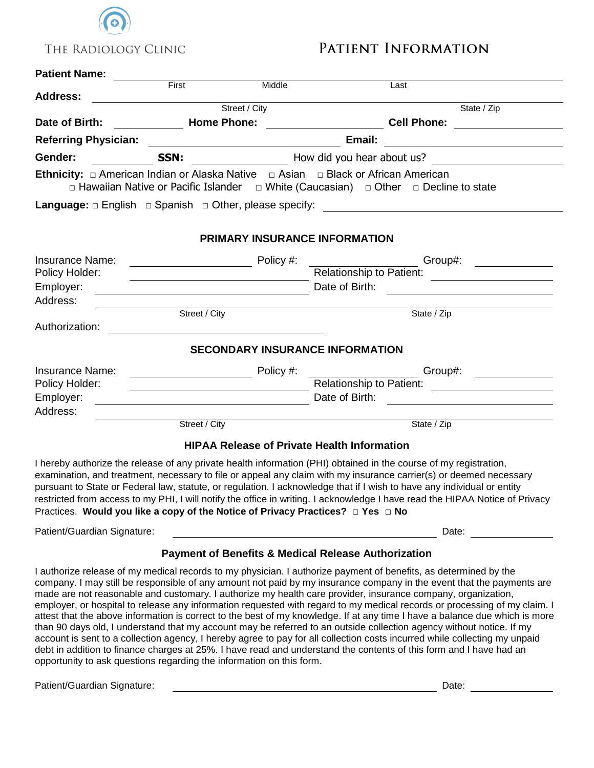

## PATIENT INFORMATION

## **Patient Name:**

| $r$ aucht Nanic.                                                     | First                                   | Middle                                                                                                                                                                                                                               |                                                                                                                                                                                                                                                                                                                                                                                                                                                                                                                                                                                                                                                                                                                                                                                                                                                                                                                                                                                                   |  |  |
|----------------------------------------------------------------------|-----------------------------------------|--------------------------------------------------------------------------------------------------------------------------------------------------------------------------------------------------------------------------------------|---------------------------------------------------------------------------------------------------------------------------------------------------------------------------------------------------------------------------------------------------------------------------------------------------------------------------------------------------------------------------------------------------------------------------------------------------------------------------------------------------------------------------------------------------------------------------------------------------------------------------------------------------------------------------------------------------------------------------------------------------------------------------------------------------------------------------------------------------------------------------------------------------------------------------------------------------------------------------------------------------|--|--|
| <b>Address:</b>                                                      |                                         |                                                                                                                                                                                                                                      | Last                                                                                                                                                                                                                                                                                                                                                                                                                                                                                                                                                                                                                                                                                                                                                                                                                                                                                                                                                                                              |  |  |
|                                                                      | Street / City                           |                                                                                                                                                                                                                                      | State / Zip                                                                                                                                                                                                                                                                                                                                                                                                                                                                                                                                                                                                                                                                                                                                                                                                                                                                                                                                                                                       |  |  |
| Date of Birth:                                                       | <b>Home Phone:</b>                      |                                                                                                                                                                                                                                      | <b>Cell Phone:</b>                                                                                                                                                                                                                                                                                                                                                                                                                                                                                                                                                                                                                                                                                                                                                                                                                                                                                                                                                                                |  |  |
| <b>Referring Physician:</b>                                          |                                         |                                                                                                                                                                                                                                      | Email:                                                                                                                                                                                                                                                                                                                                                                                                                                                                                                                                                                                                                                                                                                                                                                                                                                                                                                                                                                                            |  |  |
| Gender:                                                              | SSN:                                    | How did you hear about us? <u>The manuscript of the set of the set of the set of the set of the set of the set of the set of the set of the set of the set of the set of the set of the set of the set of the set of the set of </u> |                                                                                                                                                                                                                                                                                                                                                                                                                                                                                                                                                                                                                                                                                                                                                                                                                                                                                                                                                                                                   |  |  |
|                                                                      |                                         |                                                                                                                                                                                                                                      | <b>Ethnicity:</b> $\Box$ American Indian or Alaska Native $\Box$ Asian $\Box$ Black or African American<br>$\Box$ Hawaiian Native or Pacific Islander $\Box$ White (Caucasian) $\Box$ Other $\Box$ Decline to state                                                                                                                                                                                                                                                                                                                                                                                                                                                                                                                                                                                                                                                                                                                                                                               |  |  |
|                                                                      |                                         |                                                                                                                                                                                                                                      |                                                                                                                                                                                                                                                                                                                                                                                                                                                                                                                                                                                                                                                                                                                                                                                                                                                                                                                                                                                                   |  |  |
|                                                                      |                                         | PRIMARY INSURANCE INFORMATION                                                                                                                                                                                                        |                                                                                                                                                                                                                                                                                                                                                                                                                                                                                                                                                                                                                                                                                                                                                                                                                                                                                                                                                                                                   |  |  |
| <b>Insurance Name:</b>                                               | <u> 1980 - Johann Barbara, martin a</u> | Policy #:                                                                                                                                                                                                                            |                                                                                                                                                                                                                                                                                                                                                                                                                                                                                                                                                                                                                                                                                                                                                                                                                                                                                                                                                                                                   |  |  |
| Policy Holder:                                                       |                                         | Relationship to Patient:                                                                                                                                                                                                             |                                                                                                                                                                                                                                                                                                                                                                                                                                                                                                                                                                                                                                                                                                                                                                                                                                                                                                                                                                                                   |  |  |
| Employer:                                                            |                                         | Date of Birth:                                                                                                                                                                                                                       |                                                                                                                                                                                                                                                                                                                                                                                                                                                                                                                                                                                                                                                                                                                                                                                                                                                                                                                                                                                                   |  |  |
| Address:                                                             |                                         |                                                                                                                                                                                                                                      |                                                                                                                                                                                                                                                                                                                                                                                                                                                                                                                                                                                                                                                                                                                                                                                                                                                                                                                                                                                                   |  |  |
| Authorization:                                                       | Street / City                           |                                                                                                                                                                                                                                      | State / Zip                                                                                                                                                                                                                                                                                                                                                                                                                                                                                                                                                                                                                                                                                                                                                                                                                                                                                                                                                                                       |  |  |
|                                                                      |                                         | <b>SECONDARY INSURANCE INFORMATION</b>                                                                                                                                                                                               |                                                                                                                                                                                                                                                                                                                                                                                                                                                                                                                                                                                                                                                                                                                                                                                                                                                                                                                                                                                                   |  |  |
| <b>Insurance Name:</b>                                               |                                         | Policy #:                                                                                                                                                                                                                            | Group#:                                                                                                                                                                                                                                                                                                                                                                                                                                                                                                                                                                                                                                                                                                                                                                                                                                                                                                                                                                                           |  |  |
| Policy Holder:                                                       | <u> 1989 - Johann Barbara, martin d</u> |                                                                                                                                                                                                                                      |                                                                                                                                                                                                                                                                                                                                                                                                                                                                                                                                                                                                                                                                                                                                                                                                                                                                                                                                                                                                   |  |  |
| Employer:                                                            |                                         | Date of Birth:<br><u> 1980 - Johann Barn, mars ann an t-Amhain Aonaich an t-Aonaich an t-Aonaich ann an t-Aonaich ann an t-Aonaich</u>                                                                                               |                                                                                                                                                                                                                                                                                                                                                                                                                                                                                                                                                                                                                                                                                                                                                                                                                                                                                                                                                                                                   |  |  |
| Address:                                                             |                                         |                                                                                                                                                                                                                                      |                                                                                                                                                                                                                                                                                                                                                                                                                                                                                                                                                                                                                                                                                                                                                                                                                                                                                                                                                                                                   |  |  |
|                                                                      | Street / City                           |                                                                                                                                                                                                                                      | State / Zip                                                                                                                                                                                                                                                                                                                                                                                                                                                                                                                                                                                                                                                                                                                                                                                                                                                                                                                                                                                       |  |  |
|                                                                      |                                         | <b>HIPAA Release of Private Health Information</b>                                                                                                                                                                                   |                                                                                                                                                                                                                                                                                                                                                                                                                                                                                                                                                                                                                                                                                                                                                                                                                                                                                                                                                                                                   |  |  |
|                                                                      |                                         |                                                                                                                                                                                                                                      | I hereby authorize the release of any private health information (PHI) obtained in the course of my registration,<br>examination, and treatment, necessary to file or appeal any claim with my insurance carrier(s) or deemed necessary<br>pursuant to State or Federal law, statute, or regulation. I acknowledge that if I wish to have any individual or entity<br>restricted from access to my PHI, I will notify the office in writing. I acknowledge I have read the HIPAA Notice of Privacy<br>Practices. Would you like a copy of the Notice of Privacy Practices? □ Yes □ No                                                                                                                                                                                                                                                                                                                                                                                                             |  |  |
| Patient/Guardian Signature:                                          |                                         |                                                                                                                                                                                                                                      | Date:                                                                                                                                                                                                                                                                                                                                                                                                                                                                                                                                                                                                                                                                                                                                                                                                                                                                                                                                                                                             |  |  |
|                                                                      |                                         | <b>Payment of Benefits &amp; Medical Release Authorization</b>                                                                                                                                                                       |                                                                                                                                                                                                                                                                                                                                                                                                                                                                                                                                                                                                                                                                                                                                                                                                                                                                                                                                                                                                   |  |  |
| opportunity to ask questions regarding the information on this form. |                                         |                                                                                                                                                                                                                                      | I authorize release of my medical records to my physician. I authorize payment of benefits, as determined by the<br>company. I may still be responsible of any amount not paid by my insurance company in the event that the payments are<br>made are not reasonable and customary. I authorize my health care provider, insurance company, organization,<br>employer, or hospital to release any information requested with regard to my medical records or processing of my claim. I<br>attest that the above information is correct to the best of my knowledge. If at any time I have a balance due which is more<br>than 90 days old, I understand that my account may be referred to an outside collection agency without notice. If my<br>account is sent to a collection agency, I hereby agree to pay for all collection costs incurred while collecting my unpaid<br>debt in addition to finance charges at 25%. I have read and understand the contents of this form and I have had an |  |  |

Patient/Guardian Signature: Date: